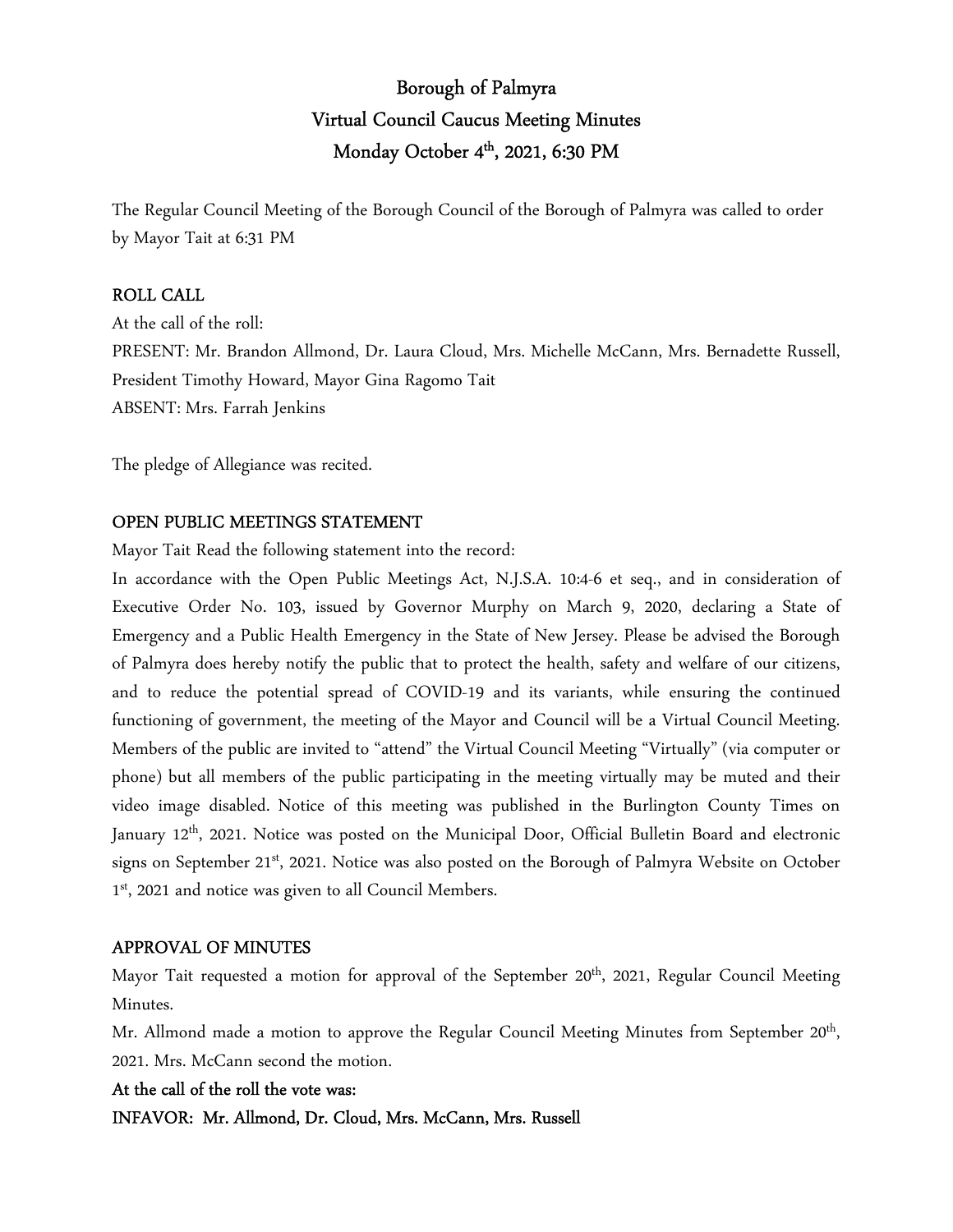# Borough of Palmyra Virtual Council Caucus Meeting Minutes Monday October 4<sup>th</sup>, 2021, 6:30 PM

The Regular Council Meeting of the Borough Council of the Borough of Palmyra was called to order by Mayor Tait at 6:31 PM

### ROLL CALL

At the call of the roll: PRESENT: Mr. Brandon Allmond, Dr. Laura Cloud, Mrs. Michelle McCann, Mrs. Bernadette Russell, President Timothy Howard, Mayor Gina Ragomo Tait ABSENT: Mrs. Farrah Jenkins

The pledge of Allegiance was recited.

### OPEN PUBLIC MEETINGS STATEMENT

Mayor Tait Read the following statement into the record:

In accordance with the Open Public Meetings Act, N.J.S.A. 10:4-6 et seq., and in consideration of Executive Order No. 103, issued by Governor Murphy on March 9, 2020, declaring a State of Emergency and a Public Health Emergency in the State of New Jersey. Please be advised the Borough of Palmyra does hereby notify the public that to protect the health, safety and welfare of our citizens, and to reduce the potential spread of COVID-19 and its variants, while ensuring the continued functioning of government, the meeting of the Mayor and Council will be a Virtual Council Meeting. Members of the public are invited to "attend" the Virtual Council Meeting "Virtually" (via computer or phone) but all members of the public participating in the meeting virtually may be muted and their video image disabled. Notice of this meeting was published in the Burlington County Times on January 12<sup>th</sup>, 2021. Notice was posted on the Municipal Door, Official Bulletin Board and electronic signs on September 21<sup>st</sup>, 2021. Notice was also posted on the Borough of Palmyra Website on October 1 st, 2021 and notice was given to all Council Members.

### APPROVAL OF MINUTES

Mayor Tait requested a motion for approval of the September 20<sup>th</sup>, 2021, Regular Council Meeting Minutes.

Mr. Allmond made a motion to approve the Regular Council Meeting Minutes from September 20<sup>th</sup>, 2021. Mrs. McCann second the motion.

### At the call of the roll the vote was:

INFAVOR: Mr. Allmond, Dr. Cloud, Mrs. McCann, Mrs. Russell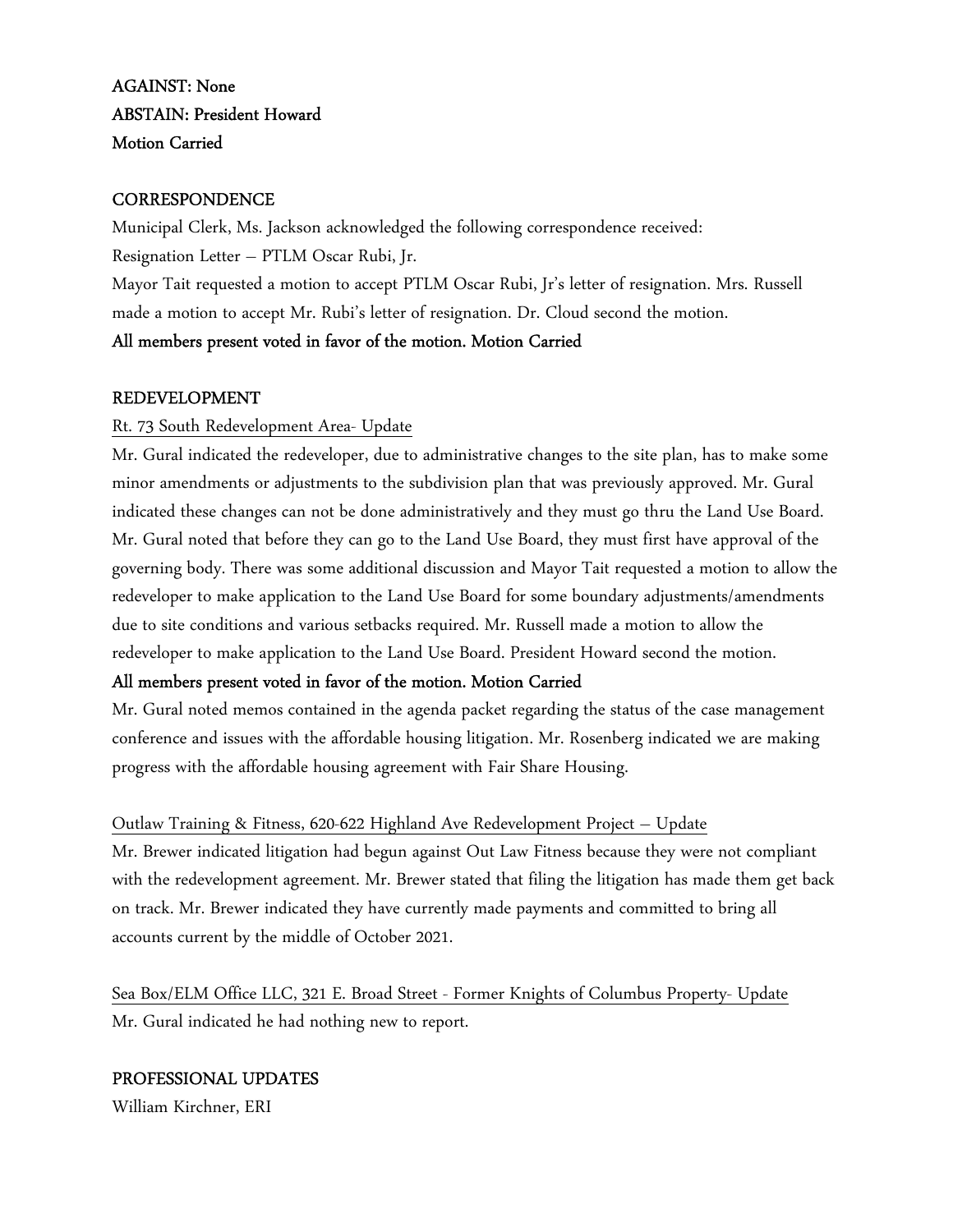## AGAINST: None ABSTAIN: President Howard Motion Carried

### **CORRESPONDENCE**

Municipal Clerk, Ms. Jackson acknowledged the following correspondence received: Resignation Letter – PTLM Oscar Rubi, Jr. Mayor Tait requested a motion to accept PTLM Oscar Rubi, Jr's letter of resignation. Mrs. Russell made a motion to accept Mr. Rubi's letter of resignation. Dr. Cloud second the motion.

### All members present voted in favor of the motion. Motion Carried

### REDEVELOPMENT

### Rt. 73 South Redevelopment Area- Update

Mr. Gural indicated the redeveloper, due to administrative changes to the site plan, has to make some minor amendments or adjustments to the subdivision plan that was previously approved. Mr. Gural indicated these changes can not be done administratively and they must go thru the Land Use Board. Mr. Gural noted that before they can go to the Land Use Board, they must first have approval of the governing body. There was some additional discussion and Mayor Tait requested a motion to allow the redeveloper to make application to the Land Use Board for some boundary adjustments/amendments due to site conditions and various setbacks required. Mr. Russell made a motion to allow the redeveloper to make application to the Land Use Board. President Howard second the motion.

### All members present voted in favor of the motion. Motion Carried

Mr. Gural noted memos contained in the agenda packet regarding the status of the case management conference and issues with the affordable housing litigation. Mr. Rosenberg indicated we are making progress with the affordable housing agreement with Fair Share Housing.

### Outlaw Training & Fitness, 620-622 Highland Ave Redevelopment Project – Update

Mr. Brewer indicated litigation had begun against Out Law Fitness because they were not compliant with the redevelopment agreement. Mr. Brewer stated that filing the litigation has made them get back on track. Mr. Brewer indicated they have currently made payments and committed to bring all accounts current by the middle of October 2021.

Sea Box/ELM Office LLC, 321 E. Broad Street - Former Knights of Columbus Property- Update Mr. Gural indicated he had nothing new to report.

### PROFESSIONAL UPDATES

William Kirchner, ERI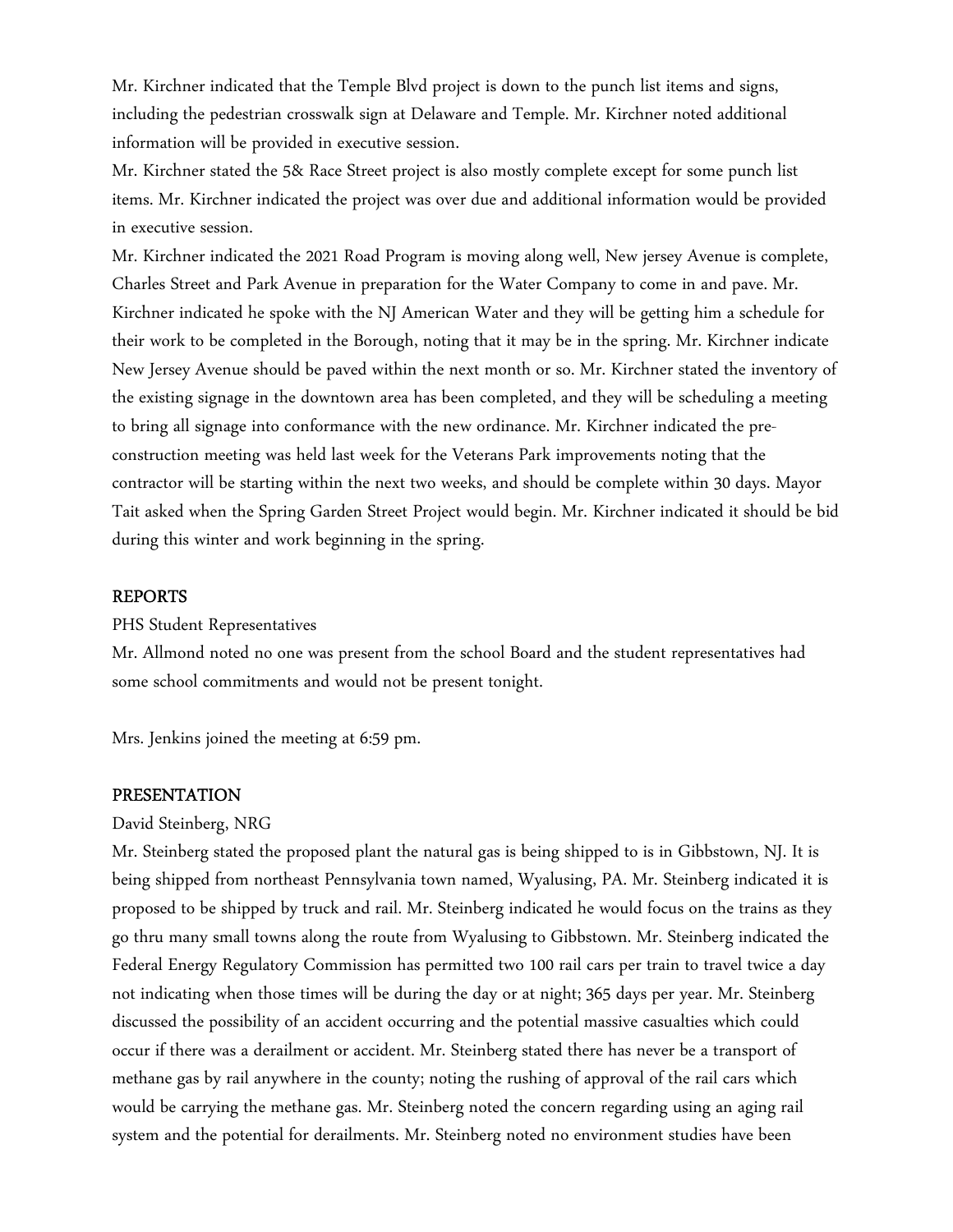Mr. Kirchner indicated that the Temple Blvd project is down to the punch list items and signs, including the pedestrian crosswalk sign at Delaware and Temple. Mr. Kirchner noted additional information will be provided in executive session.

Mr. Kirchner stated the 5& Race Street project is also mostly complete except for some punch list items. Mr. Kirchner indicated the project was over due and additional information would be provided in executive session.

Mr. Kirchner indicated the 2021 Road Program is moving along well, New jersey Avenue is complete, Charles Street and Park Avenue in preparation for the Water Company to come in and pave. Mr. Kirchner indicated he spoke with the NJ American Water and they will be getting him a schedule for their work to be completed in the Borough, noting that it may be in the spring. Mr. Kirchner indicate New Jersey Avenue should be paved within the next month or so. Mr. Kirchner stated the inventory of the existing signage in the downtown area has been completed, and they will be scheduling a meeting to bring all signage into conformance with the new ordinance. Mr. Kirchner indicated the preconstruction meeting was held last week for the Veterans Park improvements noting that the contractor will be starting within the next two weeks, and should be complete within 30 days. Mayor Tait asked when the Spring Garden Street Project would begin. Mr. Kirchner indicated it should be bid during this winter and work beginning in the spring.

#### REPORTS

PHS Student Representatives

Mr. Allmond noted no one was present from the school Board and the student representatives had some school commitments and would not be present tonight.

Mrs. Jenkins joined the meeting at 6:59 pm.

#### PRESENTATION

#### David Steinberg, NRG

Mr. Steinberg stated the proposed plant the natural gas is being shipped to is in Gibbstown, NJ. It is being shipped from northeast Pennsylvania town named, Wyalusing, PA. Mr. Steinberg indicated it is proposed to be shipped by truck and rail. Mr. Steinberg indicated he would focus on the trains as they go thru many small towns along the route from Wyalusing to Gibbstown. Mr. Steinberg indicated the Federal Energy Regulatory Commission has permitted two 100 rail cars per train to travel twice a day not indicating when those times will be during the day or at night; 365 days per year. Mr. Steinberg discussed the possibility of an accident occurring and the potential massive casualties which could occur if there was a derailment or accident. Mr. Steinberg stated there has never be a transport of methane gas by rail anywhere in the county; noting the rushing of approval of the rail cars which would be carrying the methane gas. Mr. Steinberg noted the concern regarding using an aging rail system and the potential for derailments. Mr. Steinberg noted no environment studies have been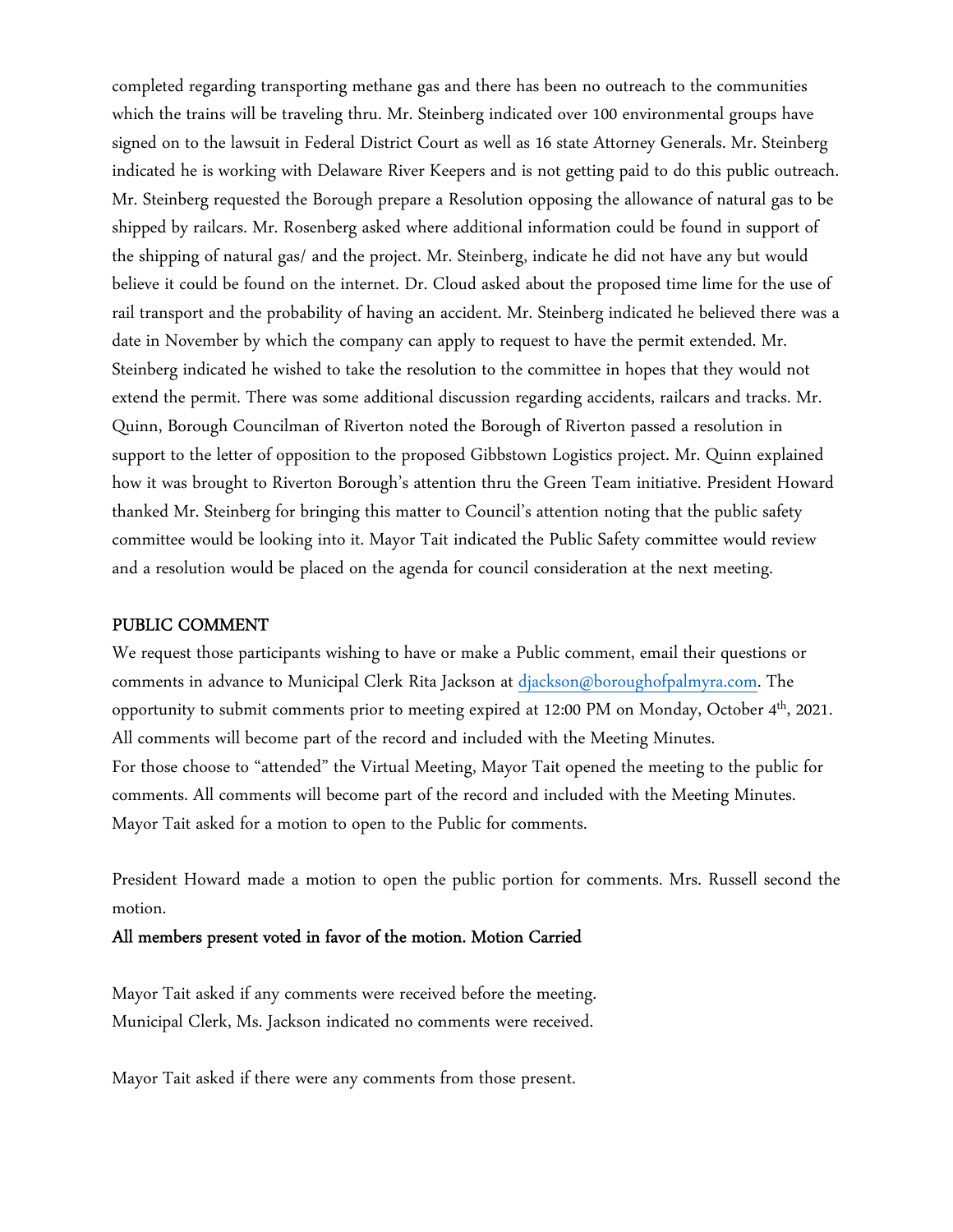completed regarding transporting methane gas and there has been no outreach to the communities which the trains will be traveling thru. Mr. Steinberg indicated over 100 environmental groups have signed on to the lawsuit in Federal District Court as well as 16 state Attorney Generals. Mr. Steinberg indicated he is working with Delaware River Keepers and is not getting paid to do this public outreach. Mr. Steinberg requested the Borough prepare a Resolution opposing the allowance of natural gas to be shipped by railcars. Mr. Rosenberg asked where additional information could be found in support of the shipping of natural gas/ and the project. Mr. Steinberg, indicate he did not have any but would believe it could be found on the internet. Dr. Cloud asked about the proposed time lime for the use of rail transport and the probability of having an accident. Mr. Steinberg indicated he believed there was a date in November by which the company can apply to request to have the permit extended. Mr. Steinberg indicated he wished to take the resolution to the committee in hopes that they would not extend the permit. There was some additional discussion regarding accidents, railcars and tracks. Mr. Quinn, Borough Councilman of Riverton noted the Borough of Riverton passed a resolution in support to the letter of opposition to the proposed Gibbstown Logistics project. Mr. Quinn explained how it was brought to Riverton Borough's attention thru the Green Team initiative. President Howard thanked Mr. Steinberg for bringing this matter to Council's attention noting that the public safety committee would be looking into it. Mayor Tait indicated the Public Safety committee would review and a resolution would be placed on the agenda for council consideration at the next meeting.

#### PUBLIC COMMENT

We request those participants wishing to have or make a Public comment, email their questions or comments in advance to Municipal Clerk Rita Jackson at djackson@boroughofpalmyra.com. The opportunity to submit comments prior to meeting expired at 12:00 PM on Monday, October 4th, 2021. All comments will become part of the record and included with the Meeting Minutes. For those choose to "attended" the Virtual Meeting, Mayor Tait opened the meeting to the public for comments. All comments will become part of the record and included with the Meeting Minutes. Mayor Tait asked for a motion to open to the Public for comments.

President Howard made a motion to open the public portion for comments. Mrs. Russell second the motion.

#### All members present voted in favor of the motion. Motion Carried

Mayor Tait asked if any comments were received before the meeting. Municipal Clerk, Ms. Jackson indicated no comments were received.

Mayor Tait asked if there were any comments from those present.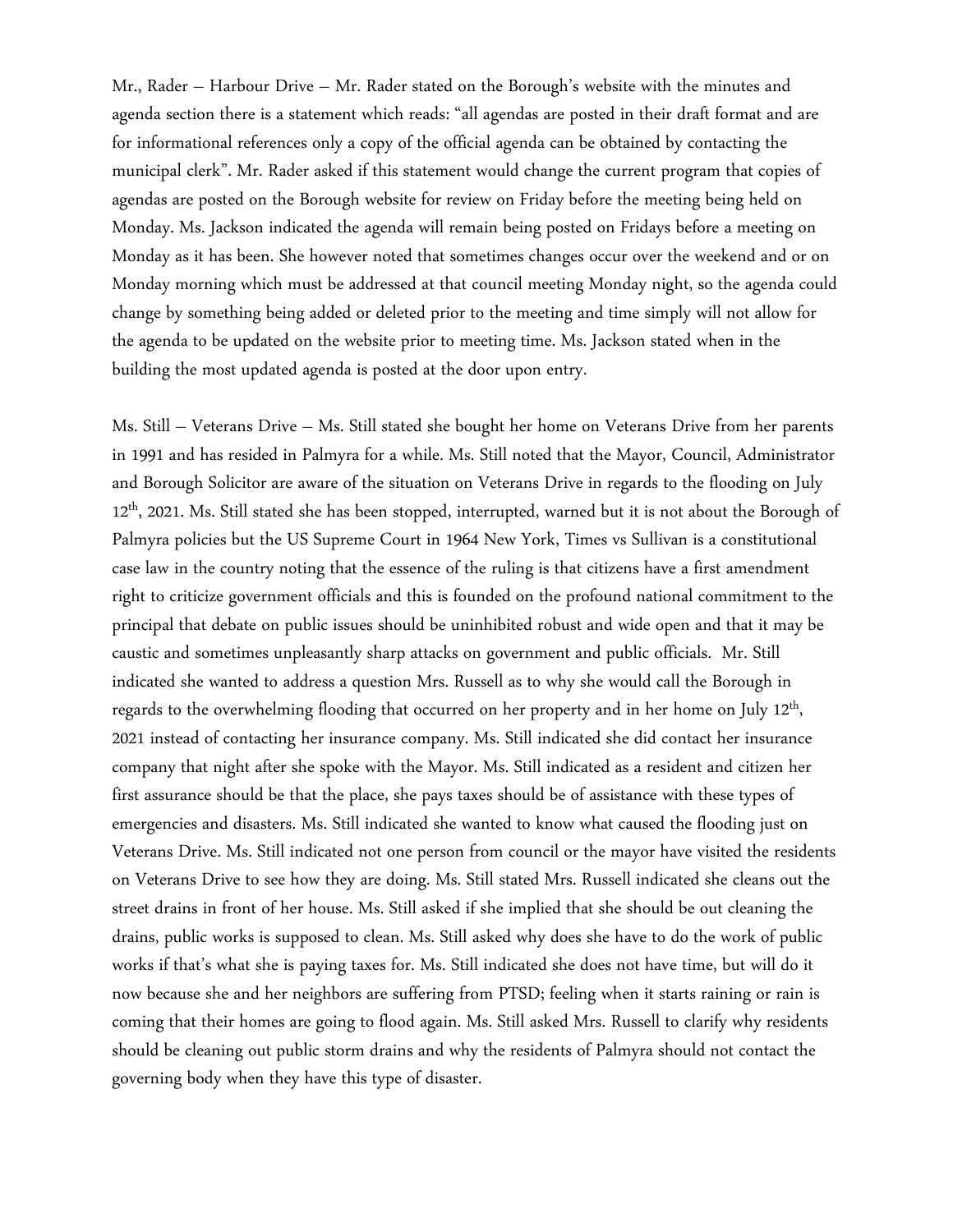Mr., Rader – Harbour Drive – Mr. Rader stated on the Borough's website with the minutes and agenda section there is a statement which reads: "all agendas are posted in their draft format and are for informational references only a copy of the official agenda can be obtained by contacting the municipal clerk". Mr. Rader asked if this statement would change the current program that copies of agendas are posted on the Borough website for review on Friday before the meeting being held on Monday. Ms. Jackson indicated the agenda will remain being posted on Fridays before a meeting on Monday as it has been. She however noted that sometimes changes occur over the weekend and or on Monday morning which must be addressed at that council meeting Monday night, so the agenda could change by something being added or deleted prior to the meeting and time simply will not allow for the agenda to be updated on the website prior to meeting time. Ms. Jackson stated when in the building the most updated agenda is posted at the door upon entry.

Ms. Still – Veterans Drive – Ms. Still stated she bought her home on Veterans Drive from her parents in 1991 and has resided in Palmyra for a while. Ms. Still noted that the Mayor, Council, Administrator and Borough Solicitor are aware of the situation on Veterans Drive in regards to the flooding on July 12<sup>th</sup>, 2021. Ms. Still stated she has been stopped, interrupted, warned but it is not about the Borough of Palmyra policies but the US Supreme Court in 1964 New York, Times vs Sullivan is a constitutional case law in the country noting that the essence of the ruling is that citizens have a first amendment right to criticize government officials and this is founded on the profound national commitment to the principal that debate on public issues should be uninhibited robust and wide open and that it may be caustic and sometimes unpleasantly sharp attacks on government and public officials. Mr. Still indicated she wanted to address a question Mrs. Russell as to why she would call the Borough in regards to the overwhelming flooding that occurred on her property and in her home on July 12<sup>th</sup>, 2021 instead of contacting her insurance company. Ms. Still indicated she did contact her insurance company that night after she spoke with the Mayor. Ms. Still indicated as a resident and citizen her first assurance should be that the place, she pays taxes should be of assistance with these types of emergencies and disasters. Ms. Still indicated she wanted to know what caused the flooding just on Veterans Drive. Ms. Still indicated not one person from council or the mayor have visited the residents on Veterans Drive to see how they are doing. Ms. Still stated Mrs. Russell indicated she cleans out the street drains in front of her house. Ms. Still asked if she implied that she should be out cleaning the drains, public works is supposed to clean. Ms. Still asked why does she have to do the work of public works if that's what she is paying taxes for. Ms. Still indicated she does not have time, but will do it now because she and her neighbors are suffering from PTSD; feeling when it starts raining or rain is coming that their homes are going to flood again. Ms. Still asked Mrs. Russell to clarify why residents should be cleaning out public storm drains and why the residents of Palmyra should not contact the governing body when they have this type of disaster.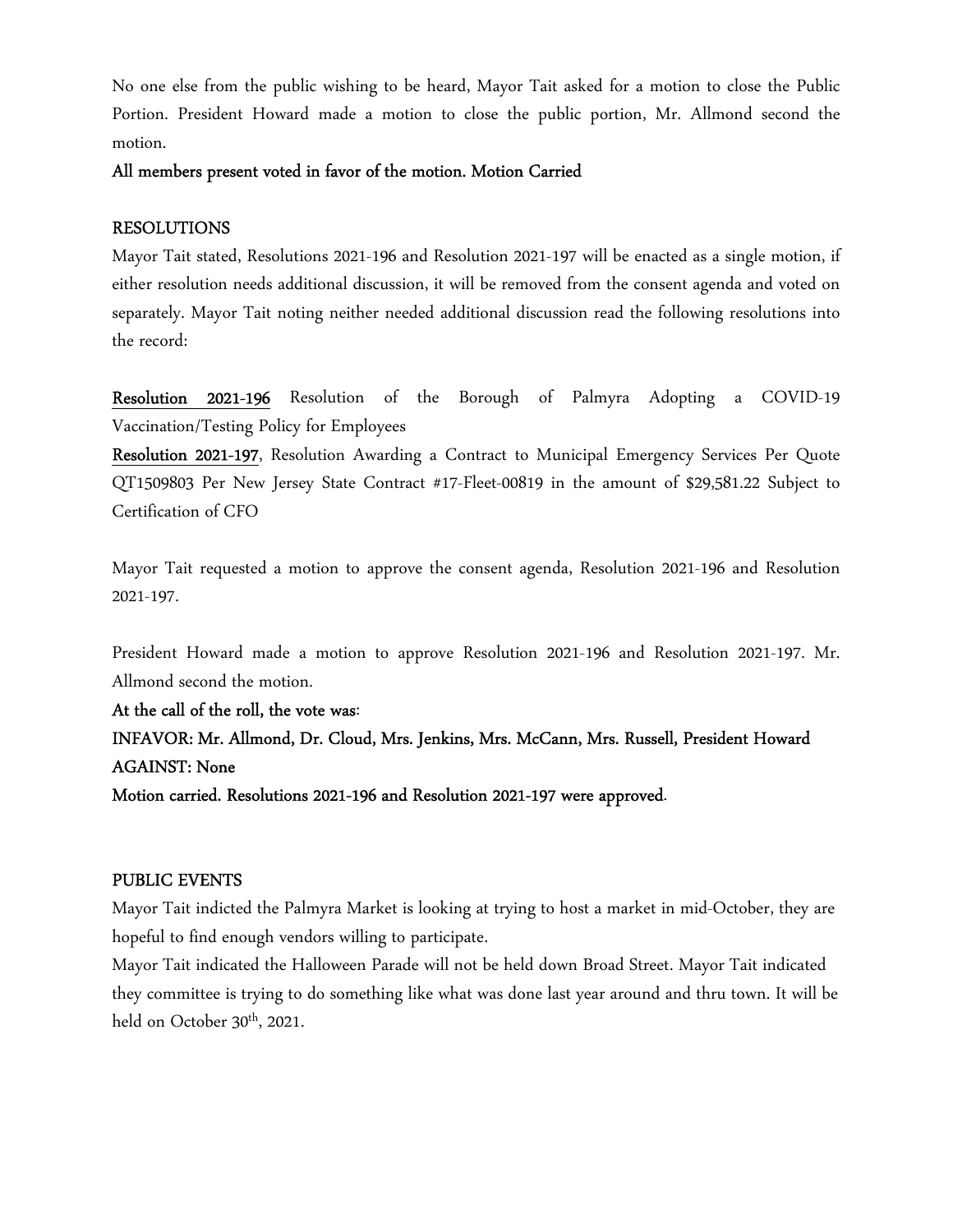No one else from the public wishing to be heard, Mayor Tait asked for a motion to close the Public Portion. President Howard made a motion to close the public portion, Mr. Allmond second the motion.

### All members present voted in favor of the motion. Motion Carried

### RESOLUTIONS

Mayor Tait stated, Resolutions 2021-196 and Resolution 2021-197 will be enacted as a single motion, if either resolution needs additional discussion, it will be removed from the consent agenda and voted on separately. Mayor Tait noting neither needed additional discussion read the following resolutions into the record:

Resolution 2021-196 Resolution of the Borough of Palmyra Adopting a COVID-19 Vaccination/Testing Policy for Employees

Resolution 2021-197, Resolution Awarding a Contract to Municipal Emergency Services Per Quote QT1509803 Per New Jersey State Contract #17-Fleet-00819 in the amount of \$29,581.22 Subject to Certification of CFO

Mayor Tait requested a motion to approve the consent agenda, Resolution 2021-196 and Resolution 2021-197.

President Howard made a motion to approve Resolution 2021-196 and Resolution 2021-197. Mr. Allmond second the motion.

At the call of the roll, the vote was: INFAVOR: Mr. Allmond, Dr. Cloud, Mrs. Jenkins, Mrs. McCann, Mrs. Russell, President Howard AGAINST: None Motion carried. Resolutions 2021-196 and Resolution 2021-197 were approved.

#### PUBLIC EVENTS

Mayor Tait indicted the Palmyra Market is looking at trying to host a market in mid-October, they are hopeful to find enough vendors willing to participate.

Mayor Tait indicated the Halloween Parade will not be held down Broad Street. Mayor Tait indicated they committee is trying to do something like what was done last year around and thru town. It will be held on October  $30<sup>th</sup>$ , 2021.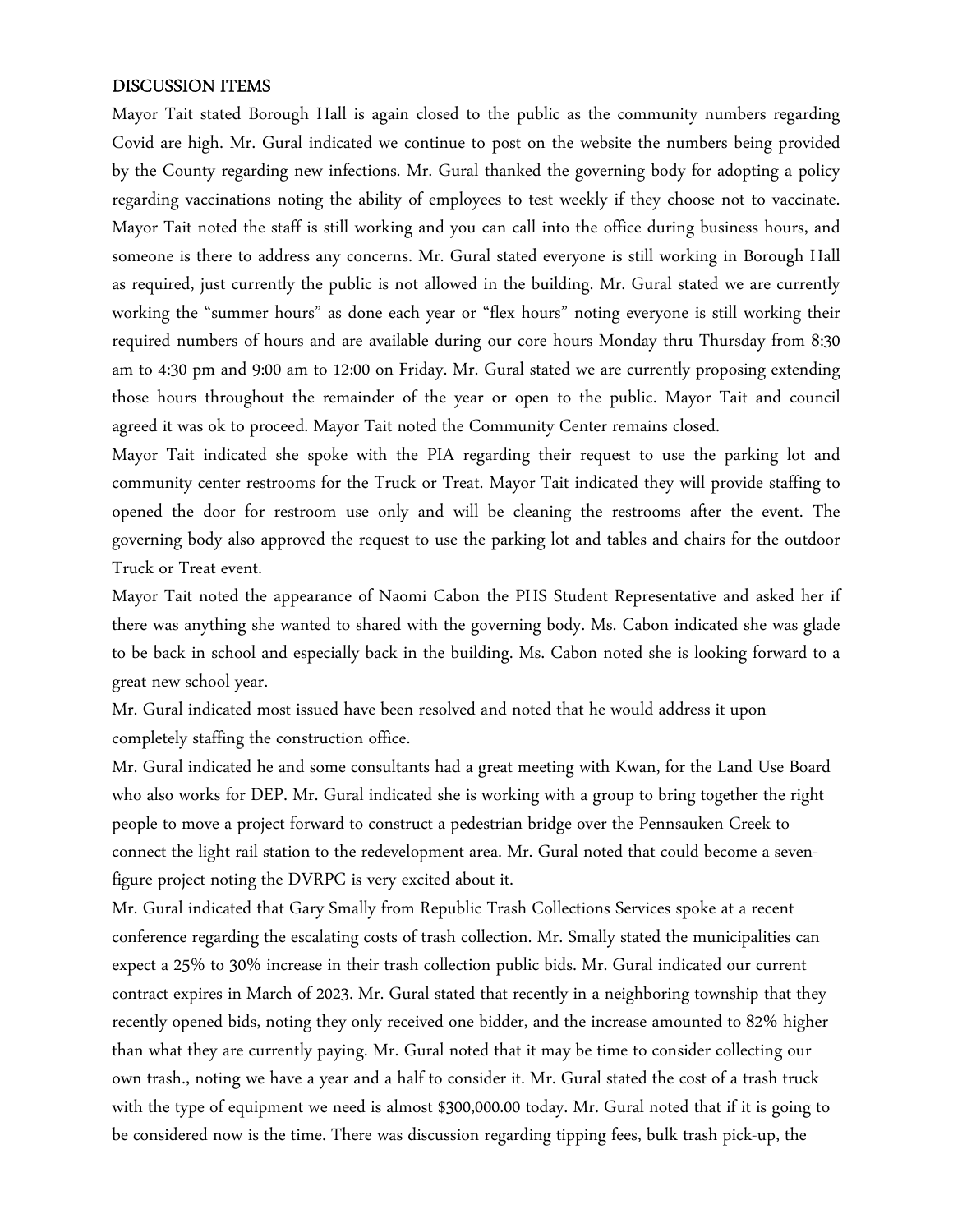#### DISCUSSION ITEMS

Mayor Tait stated Borough Hall is again closed to the public as the community numbers regarding Covid are high. Mr. Gural indicated we continue to post on the website the numbers being provided by the County regarding new infections. Mr. Gural thanked the governing body for adopting a policy regarding vaccinations noting the ability of employees to test weekly if they choose not to vaccinate. Mayor Tait noted the staff is still working and you can call into the office during business hours, and someone is there to address any concerns. Mr. Gural stated everyone is still working in Borough Hall as required, just currently the public is not allowed in the building. Mr. Gural stated we are currently working the "summer hours" as done each year or "flex hours" noting everyone is still working their required numbers of hours and are available during our core hours Monday thru Thursday from 8:30 am to 4:30 pm and 9:00 am to 12:00 on Friday. Mr. Gural stated we are currently proposing extending those hours throughout the remainder of the year or open to the public. Mayor Tait and council agreed it was ok to proceed. Mayor Tait noted the Community Center remains closed.

Mayor Tait indicated she spoke with the PIA regarding their request to use the parking lot and community center restrooms for the Truck or Treat. Mayor Tait indicated they will provide staffing to opened the door for restroom use only and will be cleaning the restrooms after the event. The governing body also approved the request to use the parking lot and tables and chairs for the outdoor Truck or Treat event.

Mayor Tait noted the appearance of Naomi Cabon the PHS Student Representative and asked her if there was anything she wanted to shared with the governing body. Ms. Cabon indicated she was glade to be back in school and especially back in the building. Ms. Cabon noted she is looking forward to a great new school year.

Mr. Gural indicated most issued have been resolved and noted that he would address it upon completely staffing the construction office.

Mr. Gural indicated he and some consultants had a great meeting with Kwan, for the Land Use Board who also works for DEP. Mr. Gural indicated she is working with a group to bring together the right people to move a project forward to construct a pedestrian bridge over the Pennsauken Creek to connect the light rail station to the redevelopment area. Mr. Gural noted that could become a sevenfigure project noting the DVRPC is very excited about it.

Mr. Gural indicated that Gary Smally from Republic Trash Collections Services spoke at a recent conference regarding the escalating costs of trash collection. Mr. Smally stated the municipalities can expect a 25% to 30% increase in their trash collection public bids. Mr. Gural indicated our current contract expires in March of 2023. Mr. Gural stated that recently in a neighboring township that they recently opened bids, noting they only received one bidder, and the increase amounted to 82% higher than what they are currently paying. Mr. Gural noted that it may be time to consider collecting our own trash., noting we have a year and a half to consider it. Mr. Gural stated the cost of a trash truck with the type of equipment we need is almost \$300,000.00 today. Mr. Gural noted that if it is going to be considered now is the time. There was discussion regarding tipping fees, bulk trash pick-up, the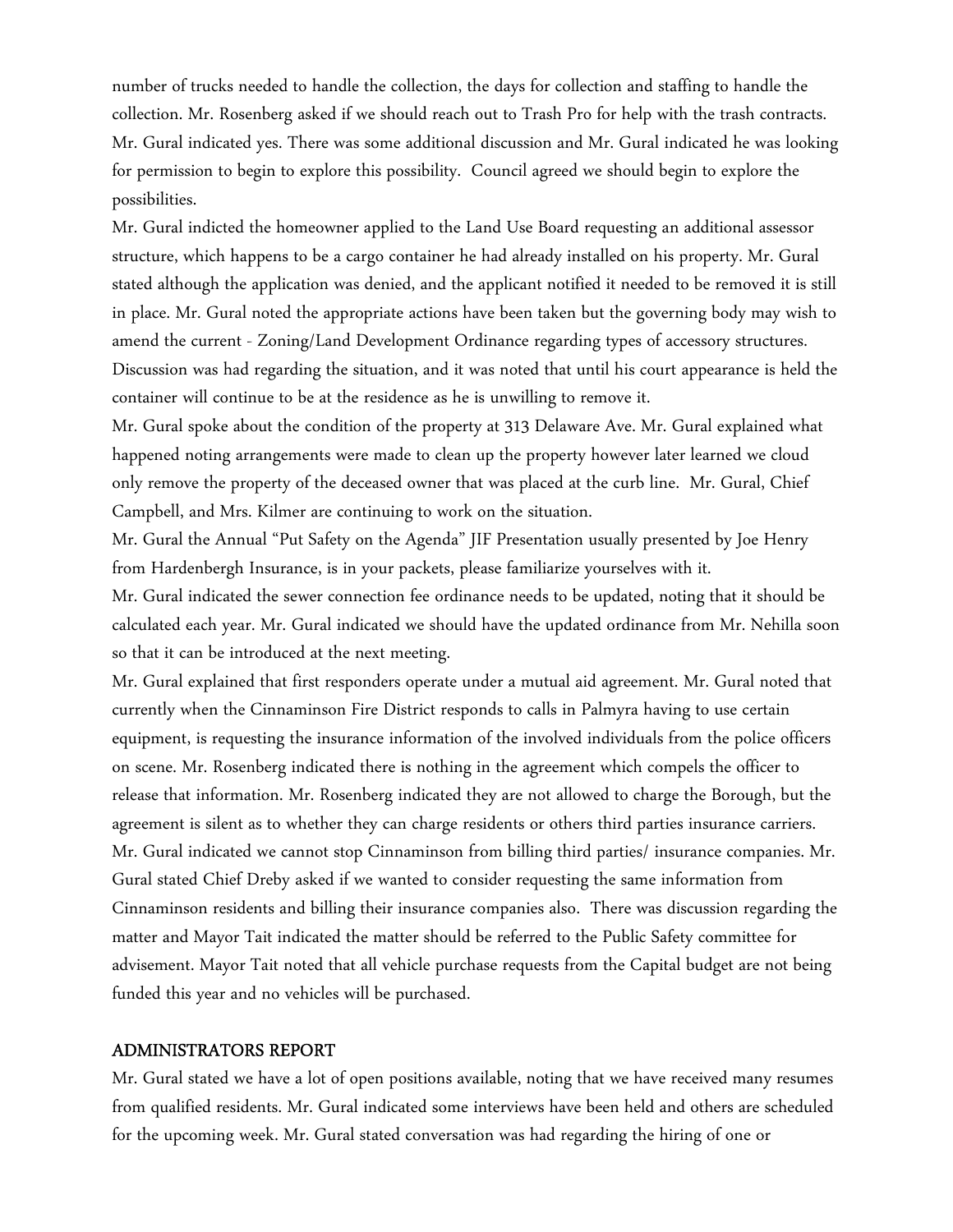number of trucks needed to handle the collection, the days for collection and staffing to handle the collection. Mr. Rosenberg asked if we should reach out to Trash Pro for help with the trash contracts. Mr. Gural indicated yes. There was some additional discussion and Mr. Gural indicated he was looking for permission to begin to explore this possibility. Council agreed we should begin to explore the possibilities.

Mr. Gural indicted the homeowner applied to the Land Use Board requesting an additional assessor structure, which happens to be a cargo container he had already installed on his property. Mr. Gural stated although the application was denied, and the applicant notified it needed to be removed it is still in place. Mr. Gural noted the appropriate actions have been taken but the governing body may wish to amend the current - Zoning/Land Development Ordinance regarding types of accessory structures. Discussion was had regarding the situation, and it was noted that until his court appearance is held the container will continue to be at the residence as he is unwilling to remove it.

Mr. Gural spoke about the condition of the property at 313 Delaware Ave. Mr. Gural explained what happened noting arrangements were made to clean up the property however later learned we cloud only remove the property of the deceased owner that was placed at the curb line. Mr. Gural, Chief Campbell, and Mrs. Kilmer are continuing to work on the situation.

Mr. Gural the Annual "Put Safety on the Agenda" JIF Presentation usually presented by Joe Henry from Hardenbergh Insurance, is in your packets, please familiarize yourselves with it.

Mr. Gural indicated the sewer connection fee ordinance needs to be updated, noting that it should be calculated each year. Mr. Gural indicated we should have the updated ordinance from Mr. Nehilla soon so that it can be introduced at the next meeting.

Mr. Gural explained that first responders operate under a mutual aid agreement. Mr. Gural noted that currently when the Cinnaminson Fire District responds to calls in Palmyra having to use certain equipment, is requesting the insurance information of the involved individuals from the police officers on scene. Mr. Rosenberg indicated there is nothing in the agreement which compels the officer to release that information. Mr. Rosenberg indicated they are not allowed to charge the Borough, but the agreement is silent as to whether they can charge residents or others third parties insurance carriers. Mr. Gural indicated we cannot stop Cinnaminson from billing third parties/ insurance companies. Mr. Gural stated Chief Dreby asked if we wanted to consider requesting the same information from Cinnaminson residents and billing their insurance companies also. There was discussion regarding the matter and Mayor Tait indicated the matter should be referred to the Public Safety committee for advisement. Mayor Tait noted that all vehicle purchase requests from the Capital budget are not being funded this year and no vehicles will be purchased.

#### ADMINISTRATORS REPORT

Mr. Gural stated we have a lot of open positions available, noting that we have received many resumes from qualified residents. Mr. Gural indicated some interviews have been held and others are scheduled for the upcoming week. Mr. Gural stated conversation was had regarding the hiring of one or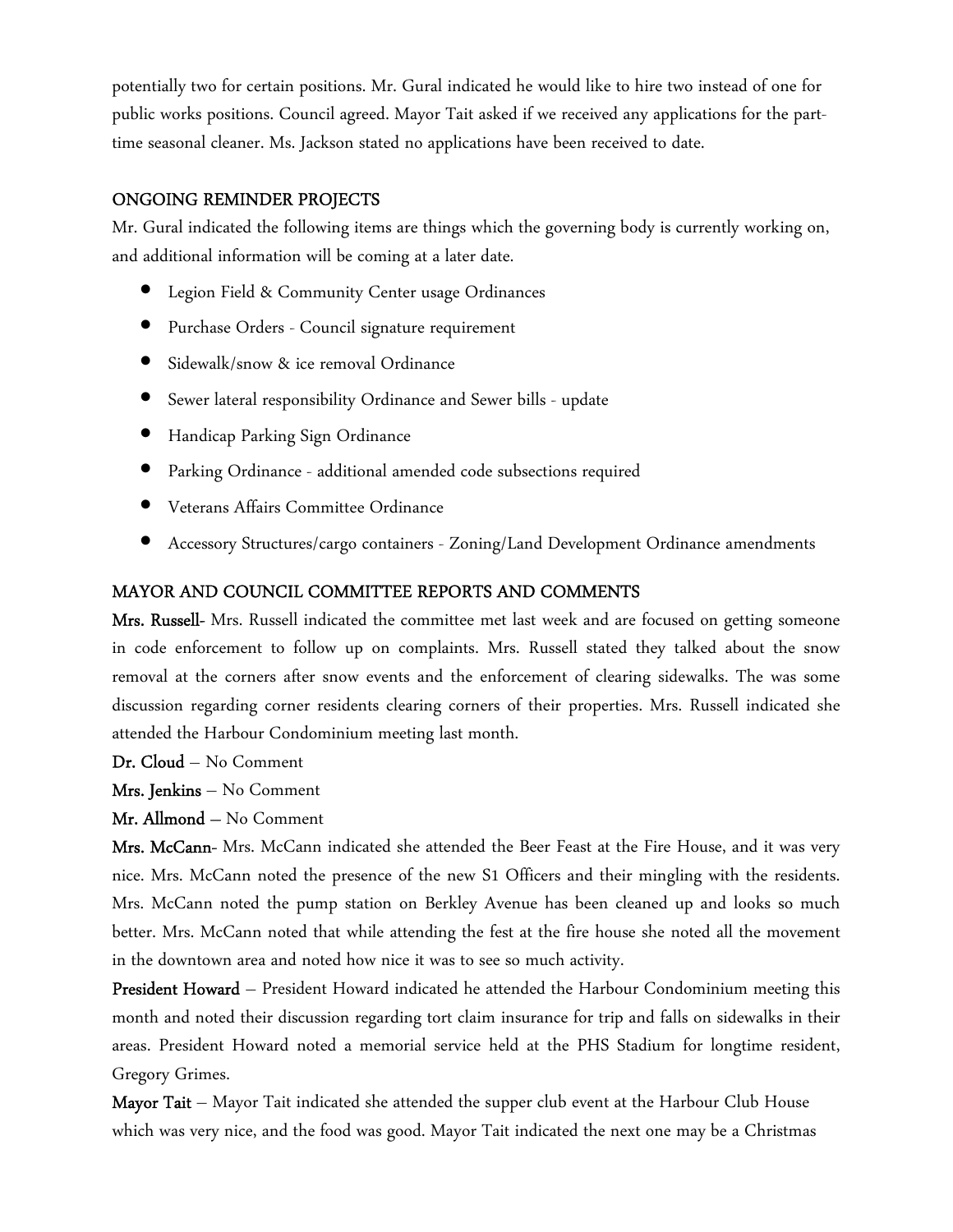potentially two for certain positions. Mr. Gural indicated he would like to hire two instead of one for public works positions. Council agreed. Mayor Tait asked if we received any applications for the parttime seasonal cleaner. Ms. Jackson stated no applications have been received to date.

### ONGOING REMINDER PROJECTS

Mr. Gural indicated the following items are things which the governing body is currently working on, and additional information will be coming at a later date.

- Legion Field & Community Center usage Ordinances
- Purchase Orders Council signature requirement
- Sidewalk/snow & ice removal Ordinance
- Sewer lateral responsibility Ordinance and Sewer bills update
- Handicap Parking Sign Ordinance
- Parking Ordinance additional amended code subsections required
- Veterans Affairs Committee Ordinance
- Accessory Structures/cargo containers Zoning/Land Development Ordinance amendments

### MAYOR AND COUNCIL COMMITTEE REPORTS AND COMMENTS

Mrs. Russell- Mrs. Russell indicated the committee met last week and are focused on getting someone in code enforcement to follow up on complaints. Mrs. Russell stated they talked about the snow removal at the corners after snow events and the enforcement of clearing sidewalks. The was some discussion regarding corner residents clearing corners of their properties. Mrs. Russell indicated she attended the Harbour Condominium meeting last month.

Dr. Cloud – No Comment

Mrs. Jenkins – No Comment

Mr. Allmond – No Comment

Mrs. McCann- Mrs. McCann indicated she attended the Beer Feast at the Fire House, and it was very nice. Mrs. McCann noted the presence of the new S1 Officers and their mingling with the residents. Mrs. McCann noted the pump station on Berkley Avenue has been cleaned up and looks so much better. Mrs. McCann noted that while attending the fest at the fire house she noted all the movement in the downtown area and noted how nice it was to see so much activity.

**President Howard** – President Howard indicated he attended the Harbour Condominium meeting this month and noted their discussion regarding tort claim insurance for trip and falls on sidewalks in their areas. President Howard noted a memorial service held at the PHS Stadium for longtime resident, Gregory Grimes.

Mayor Tait - Mayor Tait indicated she attended the supper club event at the Harbour Club House which was very nice, and the food was good. Mayor Tait indicated the next one may be a Christmas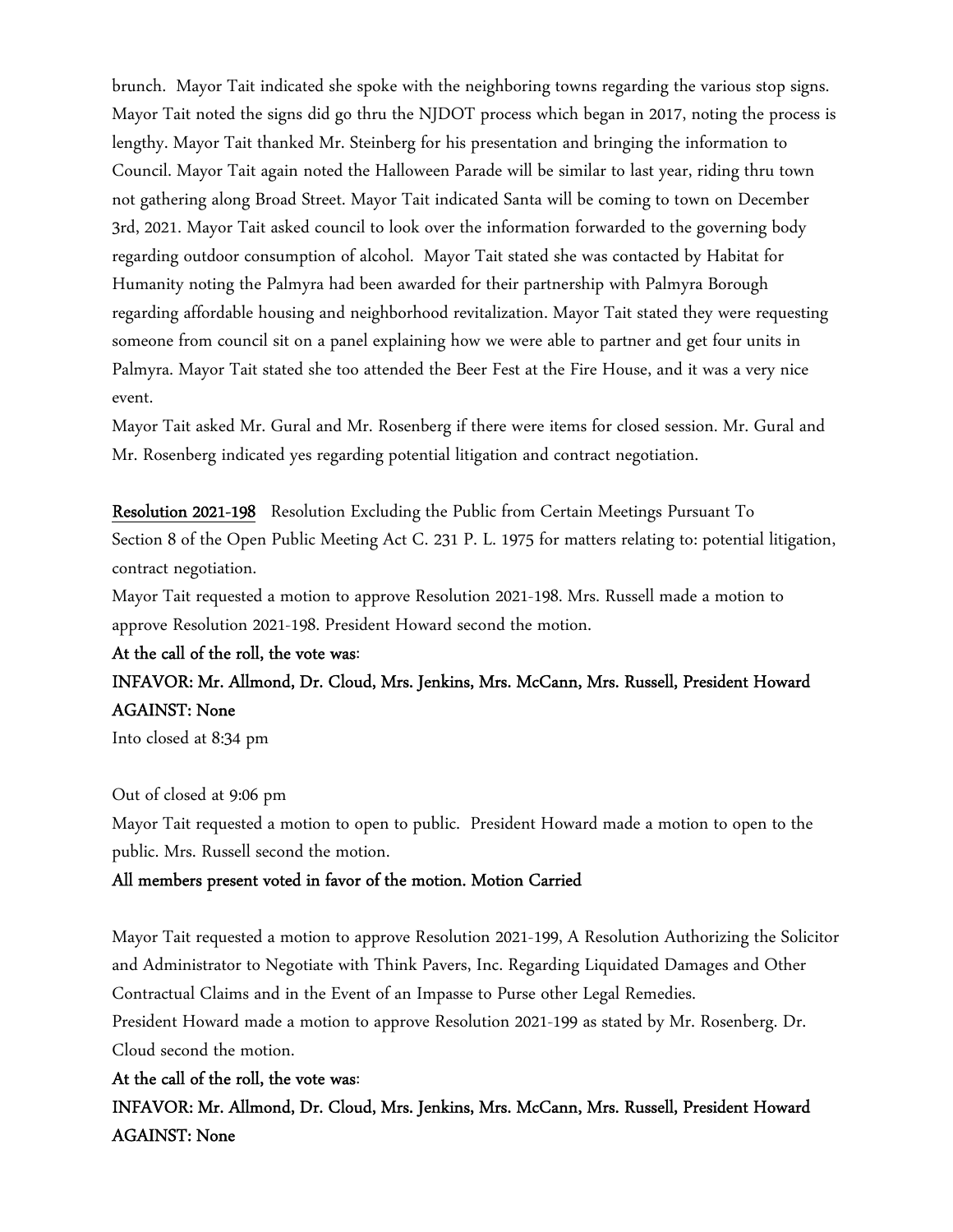brunch. Mayor Tait indicated she spoke with the neighboring towns regarding the various stop signs. Mayor Tait noted the signs did go thru the NJDOT process which began in 2017, noting the process is lengthy. Mayor Tait thanked Mr. Steinberg for his presentation and bringing the information to Council. Mayor Tait again noted the Halloween Parade will be similar to last year, riding thru town not gathering along Broad Street. Mayor Tait indicated Santa will be coming to town on December 3rd, 2021. Mayor Tait asked council to look over the information forwarded to the governing body regarding outdoor consumption of alcohol. Mayor Tait stated she was contacted by Habitat for Humanity noting the Palmyra had been awarded for their partnership with Palmyra Borough regarding affordable housing and neighborhood revitalization. Mayor Tait stated they were requesting someone from council sit on a panel explaining how we were able to partner and get four units in Palmyra. Mayor Tait stated she too attended the Beer Fest at the Fire House, and it was a very nice event.

Mayor Tait asked Mr. Gural and Mr. Rosenberg if there were items for closed session. Mr. Gural and Mr. Rosenberg indicated yes regarding potential litigation and contract negotiation.

Resolution 2021-198 Resolution Excluding the Public from Certain Meetings Pursuant To Section 8 of the Open Public Meeting Act C. 231 P. L. 1975 for matters relating to: potential litigation, contract negotiation.

Mayor Tait requested a motion to approve Resolution 2021-198. Mrs. Russell made a motion to approve Resolution 2021-198. President Howard second the motion.

#### At the call of the roll, the vote was:

## INFAVOR: Mr. Allmond, Dr. Cloud, Mrs. Jenkins, Mrs. McCann, Mrs. Russell, President Howard AGAINST: None

Into closed at 8:34 pm

### Out of closed at 9:06 pm

Mayor Tait requested a motion to open to public. President Howard made a motion to open to the public. Mrs. Russell second the motion.

#### All members present voted in favor of the motion. Motion Carried

Mayor Tait requested a motion to approve Resolution 2021-199, A Resolution Authorizing the Solicitor and Administrator to Negotiate with Think Pavers, Inc. Regarding Liquidated Damages and Other Contractual Claims and in the Event of an Impasse to Purse other Legal Remedies. President Howard made a motion to approve Resolution 2021-199 as stated by Mr. Rosenberg. Dr. Cloud second the motion.

#### At the call of the roll, the vote was:

INFAVOR: Mr. Allmond, Dr. Cloud, Mrs. Jenkins, Mrs. McCann, Mrs. Russell, President Howard AGAINST: None